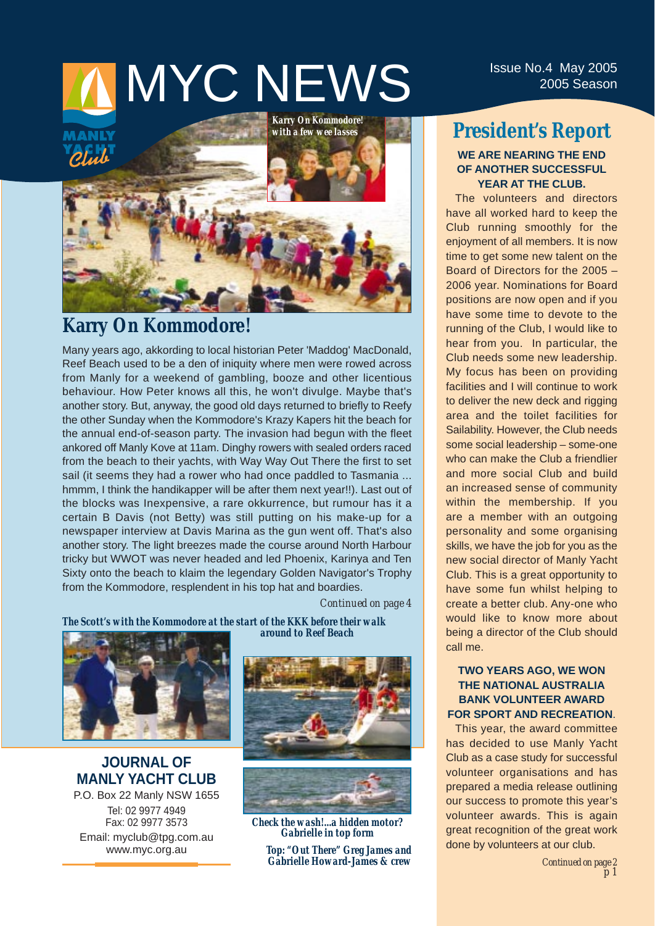# **INYC NEWS** Issue No.4 May 2005

*Karry On Kommodore! with a few wee lasses*

## **Karry On Kommodore!**

Many years ago, akkording to local historian Peter 'Maddog' MacDonald, Reef Beach used to be a den of iniquity where men were rowed across from Manly for a weekend of gambling, booze and other licentious behaviour. How Peter knows all this, he won't divulge. Maybe that's another story. But, anyway, the good old days returned to briefly to Reefy the other Sunday when the Kommodore's Krazy Kapers hit the beach for the annual end-of-season party. The invasion had begun with the fleet ankored off Manly Kove at 11am. Dinghy rowers with sealed orders raced from the beach to their yachts, with Way Way Out There the first to set sail (it seems they had a rower who had once paddled to Tasmania ... hmmm, I think the handikapper will be after them next year!!). Last out of the blocks was Inexpensive, a rare okkurrence, but rumour has it a certain B Davis (not Betty) was still putting on his make-up for a newspaper interview at Davis Marina as the gun went off. That's also another story. The light breezes made the course around North Harbour tricky but WWOT was never headed and led Phoenix, Karinya and Ten Sixty onto the beach to klaim the legendary Golden Navigator's Trophy from the Kommodore, resplendent in his top hat and boardies.

*Continued on page 4*

*The Scott's with the Kommodore at the start of the KKK before their walk around to Reef Beach* 



**JOURNAL OF MANLY YACHT CLUB** P.O. Box 22 Manly NSW 1655 Tel: 02 9977 4949 Fax: 02 9977 3573 Email: myclub@tpg.com.au www.myc.org.au





*Check the wash!...a hidden motor? Gabrielle in top form*

*Top: "Out There" Greg James and Gabrielle Howard-James & crew*

#### **President's Report WE ARE NEARING THE END OF ANOTHER SUCCESSFUL YEAR AT THE CLUB.**

The volunteers and directors have all worked hard to keep the Club running smoothly for the enjoyment of all members. It is now time to get some new talent on the Board of Directors for the 2005 – 2006 year. Nominations for Board positions are now open and if you have some time to devote to the running of the Club, I would like to hear from you. In particular, the Club needs some new leadership. My focus has been on providing facilities and I will continue to work to deliver the new deck and rigging area and the toilet facilities for Sailability. However, the Club needs some social leadership – some-one who can make the Club a friendlier and more social Club and build an increased sense of community within the membership. If you are a member with an outgoing personality and some organising skills, we have the job for you as the new social director of Manly Yacht Club. This is a great opportunity to have some fun whilst helping to create a better club. Any-one who would like to know more about being a director of the Club should call me.

#### **TWO YEARS AGO, WE WON THE NATIONAL AUSTRALIA BANK VOLUNTEER AWARD FOR SPORT AND RECREATION**.

This year, the award committee has decided to use Manly Yacht Club as a case study for successful volunteer organisations and has prepared a media release outlining our success to promote this year's volunteer awards. This is again great recognition of the great work done by volunteers at our club.

> *Continued on page 2 p 1*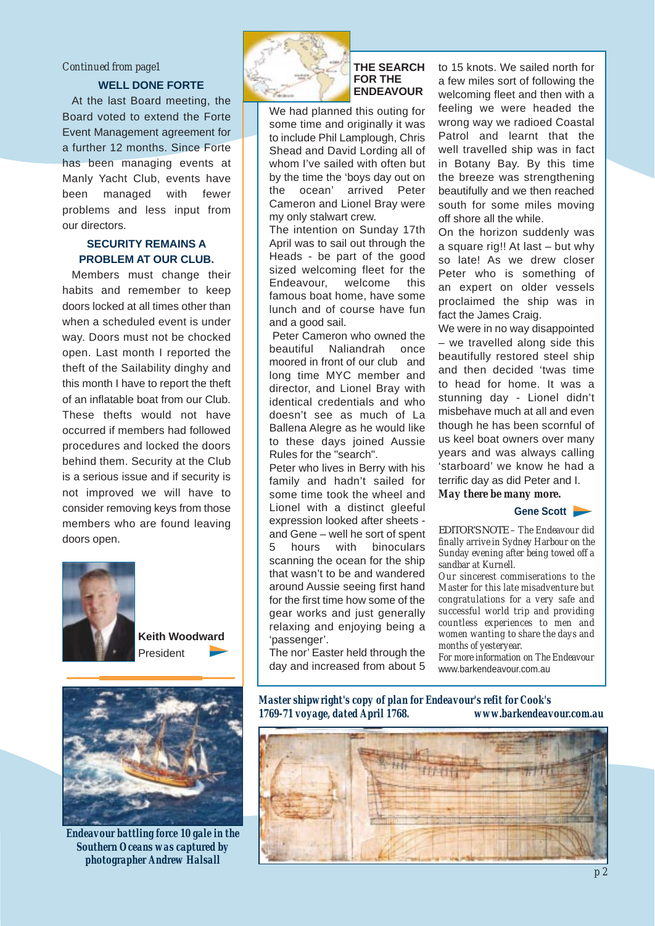#### *Continued from page1*

#### **WELL DONE FORTE**

At the last Board meeting, the Board voted to extend the Forte Event Management agreement for a further 12 months. Since Forte has been managing events at Manly Yacht Club, events have been managed with fewer problems and less input from our directors.

#### **SECURITY REMAINS A PROBLEM AT OUR CLUB.**

Members must change their habits and remember to keep doors locked at all times other than when a scheduled event is under way. Doors must not be chocked open. Last month I reported the theft of the Sailability dinghy and this month I have to report the theft of an inflatable boat from our Club. These thefts would not have occurred if members had followed procedures and locked the doors behind them. Security at the Club is a serious issue and if security is not improved we will have to consider removing keys from those members who are found leaving doors open.



**Keith Woodward**  President



*Endeavour battling force 10 gale in the Southern Oceans was captured by photographer Andrew Halsall*



#### **THE SEARCH FOR THE ENDEAVOUR**

We had planned this outing for some time and originally it was to include Phil Lamplough, Chris Shead and David Lording all of whom I've sailed with often but by the time the 'boys day out on the ocean' arrived Peter Cameron and Lionel Bray were my only stalwart crew.

The intention on Sunday 17th April was to sail out through the Heads - be part of the good sized welcoming fleet for the Endeavour, welcome this famous boat home, have some lunch and of course have fun and a good sail.

Peter Cameron who owned the beautiful Naliandrah once moored in front of our club and long time MYC member and director, and Lionel Bray with identical credentials and who doesn't see as much of La Ballena Alegre as he would like to these days joined Aussie Rules for the "search".

Peter who lives in Berry with his family and hadn't sailed for some time took the wheel and Lionel with a distinct gleeful expression looked after sheets and Gene – well he sort of spent 5 hours with binoculars scanning the ocean for the ship that wasn't to be and wandered around Aussie seeing first hand for the first time how some of the gear works and just generally relaxing and enjoying being a 'passenger'.

The nor' Easter held through the day and increased from about 5 to 15 knots. We sailed north for a few miles sort of following the welcoming fleet and then with a feeling we were headed the wrong way we radioed Coastal Patrol and learnt that the well travelled ship was in fact in Botany Bay. By this time the breeze was strengthening beautifully and we then reached south for some miles moving off shore all the while.

On the horizon suddenly was a square rig!! At last – but why so late! As we drew closer Peter who is something of an expert on older vessels proclaimed the ship was in fact the James Craig.

We were in no way disappointed – we travelled along side this beautifully restored steel ship and then decided 'twas time to head for home. It was a stunning day - Lionel didn't misbehave much at all and even though he has been scornful of us keel boat owners over many years and was always calling 'starboard' we know he had a terrific day as did Peter and I.

*May there be many more.* 

#### Gene Scott

EDITOR'S NOTE *– The Endeavour did finally arrive in Sydney Harbour on the Sunday evening after being towed off a sandbar at Kurnell.* 

*Our sincerest commiserations to the Master for this late misadventure but congratulations for a very safe and successful world trip and providing countless experiences to men and women wanting to share the days and months of yesteryear.* 

*For more information on The Endeavour* www.barkendeavour.com.au

*Master shipwright's copy of plan for Endeavour's refit for Cook's 1769-71 voyage, dated April 1768. www.barkendeavour.com.au*

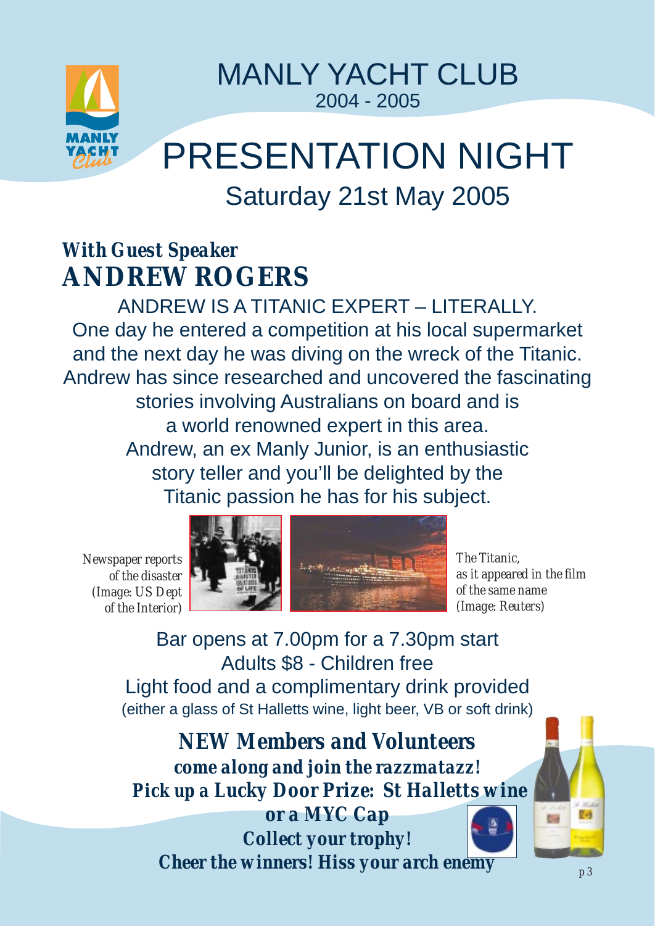

MANLY YACHT CLUB 2004 - 2005

# PRESENTATION NIGHT Saturday 21st May 2005

# *With Guest Speaker* **ANDREW ROGERS**

ANDREW IS A TITANIC EXPERT – LITERALLY. One day he entered a competition at his local supermarket and the next day he was diving on the wreck of the Titanic. Andrew has since researched and uncovered the fascinating stories involving Australians on board and is a world renowned expert in this area. Andrew, an ex Manly Junior, is an enthusiastic story teller and you'll be delighted by the Titanic passion he has for his subject.

*Newspaper reports of the disaster (Image: US Dept of the Interior)*





*The Titanic, as it appeared in the film of the same name (Image: Reuters)*

Bar opens at 7.00pm for a 7.30pm start Adults \$8 - Children free Light food and a complimentary drink provided (either a glass of St Halletts wine, light beer, VB or soft drink)

*NEW Members and Volunteers come along and join the razzmatazz! Pick up a Lucky Door Prize: St Halletts wine or a MYC Cap*

*Collect your trophy! Cheer the winners! Hiss your arch enemy*  $\sim$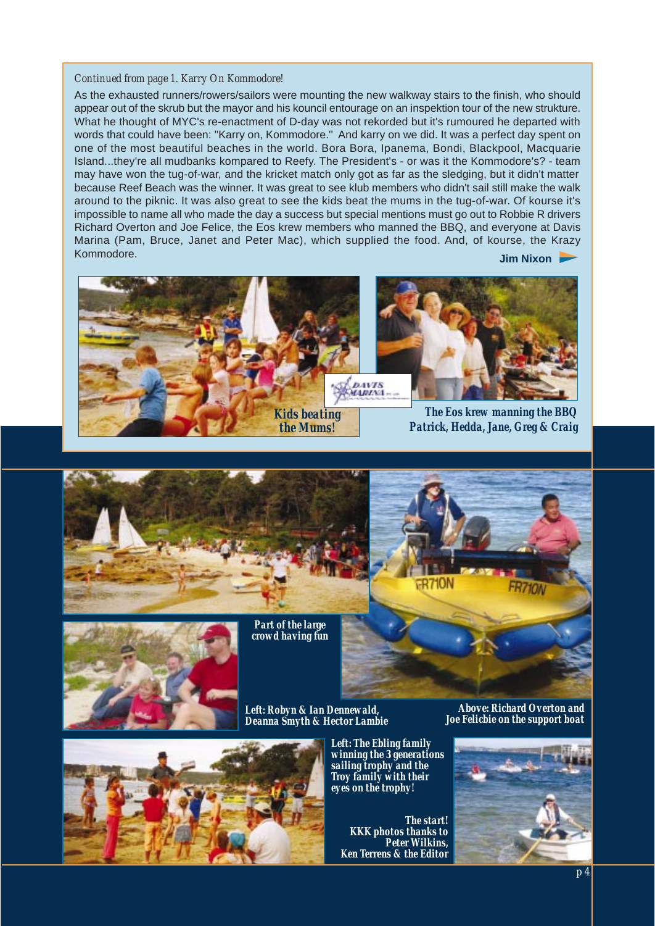#### *Continued from page 1. Karry On Kommodore!*

As the exhausted runners/rowers/sailors were mounting the new walkway stairs to the finish, who should appear out of the skrub but the mayor and his kouncil entourage on an inspektion tour of the new strukture. What he thought of MYC's re-enactment of D-day was not rekorded but it's rumoured he departed with words that could have been: ''Karry on, Kommodore.'' And karry on we did. It was a perfect day spent on one of the most beautiful beaches in the world. Bora Bora, Ipanema, Bondi, Blackpool, Macquarie Island...they're all mudbanks kompared to Reefy. The President's - or was it the Kommodore's? - team may have won the tug-of-war, and the kricket match only got as far as the sledging, but it didn't matter because Reef Beach was the winner. It was great to see klub members who didn't sail still make the walk around to the piknic. It was also great to see the kids beat the mums in the tug-of-war. Of kourse it's impossible to name all who made the day a success but special mentions must go out to Robbie R drivers Richard Overton and Joe Felice, the Eos krew members who manned the BBQ, and everyone at Davis Marina (Pam, Bruce, Janet and Peter Mac), which supplied the food. And, of kourse, the Krazy Kommodore. **Jim Nixon**







*Part of the large crowd having fun*



*Left: Robyn & Ian Dennewald, Deanna Smyth & Hector Lambie* 



*Left: The Ebling family winning the 3 generations sailing trophy and the Troy family with their eyes on the trophy!*

*The start! KKK photos thanks to Peter Wilkins, Ken Terrens & the Editor*

*Above: Richard Overton and Joe Felicbie on the support boat* 

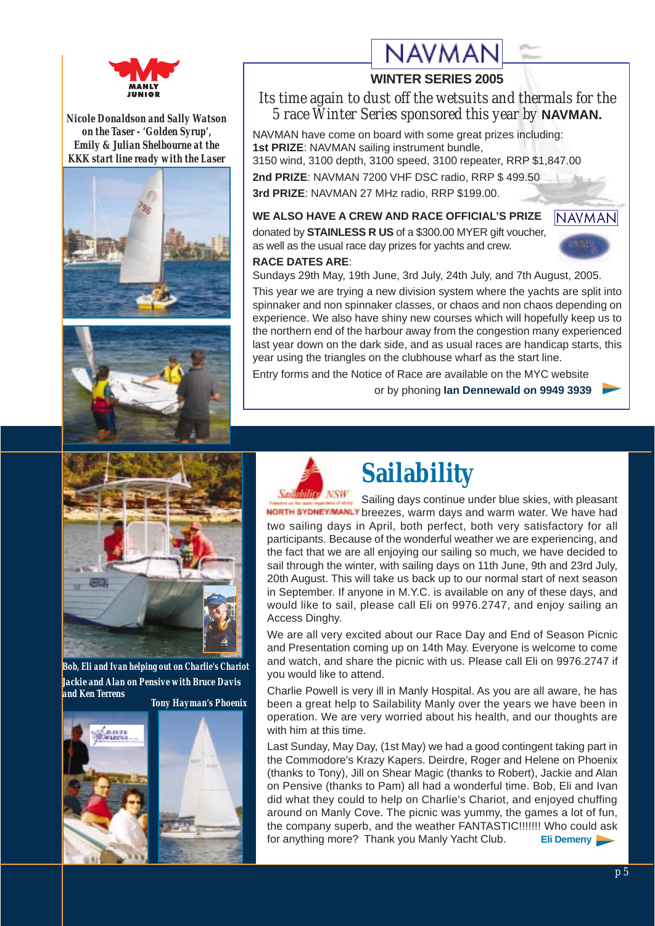

*Nicole Donaldson and Sally Watson on the Taser - 'Golden Syrup', Emily & Julian Shelbourne at the KKK start line ready with the Laser*





# **NAVMAI**

#### **WINTER SERIES 2005**

#### *Its time again to dust off the wetsuits and thermals for the 5 race Winter Series sponsored this year by* **NAVMAN.**

NAVMAN have come on board with some great prizes including: **1st PRIZE**: NAVMAN sailing instrument bundle, 3150 wind, 3100 depth, 3100 speed, 3100 repeater, RRP \$1,847.00 **2nd PRIZE**: NAVMAN 7200 VHF DSC radio, RRP \$ 499.50

**3rd PRIZE**: NAVMAN 27 MHz radio, RRP \$199.00.

### **WE ALSO HAVE A CREW AND RACE OFFICIAL'S PRIZE**

donated by **STAINLESS R US** of a \$300.00 MYER gift voucher, as well as the usual race day prizes for yachts and crew. **RACE DATES ARE**:



Sundays 29th May, 19th June, 3rd July, 24th July, and 7th August, 2005.

This year we are trying a new division system where the yachts are split into spinnaker and non spinnaker classes, or chaos and non chaos depending on experience. We also have shiny new courses which will hopefully keep us to the northern end of the harbour away from the congestion many experienced last year down on the dark side, and as usual races are handicap starts, this year using the triangles on the clubhouse wharf as the start line.

Entry forms and the Notice of Race are available on the MYC website

or by phoning **Ian Dennewald on 9949 3939**



*Bob, Eli and Ivan helping out on Charlie's Chariot Jackie and Alan on Pensive with Bruce Davis and Ken Terrens Tony Hayman's Phoenix*







# **Sailability**

Sailing days continue under blue skies, with pleasant NORTH SYDNEY MANLY breezes, warm days and warm water. We have had two sailing days in April, both perfect, both very satisfactory for all participants. Because of the wonderful weather we are experiencing, and the fact that we are all enjoying our sailing so much, we have decided to sail through the winter, with sailing days on 11th June, 9th and 23rd July, 20th August. This will take us back up to our normal start of next season in September. If anyone in M.Y.C. is available on any of these days, and would like to sail, please call Eli on 9976.2747, and enjoy sailing an Access Dinghy.

We are all very excited about our Race Day and End of Season Picnic and Presentation coming up on 14th May. Everyone is welcome to come and watch, and share the picnic with us. Please call Eli on 9976.2747 if you would like to attend.

Charlie Powell is very ill in Manly Hospital. As you are all aware, he has been a great help to Sailability Manly over the years we have been in operation. We are very worried about his health, and our thoughts are with him at this time.

Last Sunday, May Day, (1st May) we had a good contingent taking part in the Commodore's Krazy Kapers. Deirdre, Roger and Helene on Phoenix (thanks to Tony), Jill on Shear Magic (thanks to Robert), Jackie and Alan on Pensive (thanks to Pam) all had a wonderful time. Bob, Eli and Ivan did what they could to help on Charlie's Chariot, and enjoyed chuffing around on Manly Cove. The picnic was yummy, the games a lot of fun, the company superb, and the weather FANTASTIC!!!!!!! Who could ask for anything more? Thank you Manly Yacht Club. **Eli Demeny**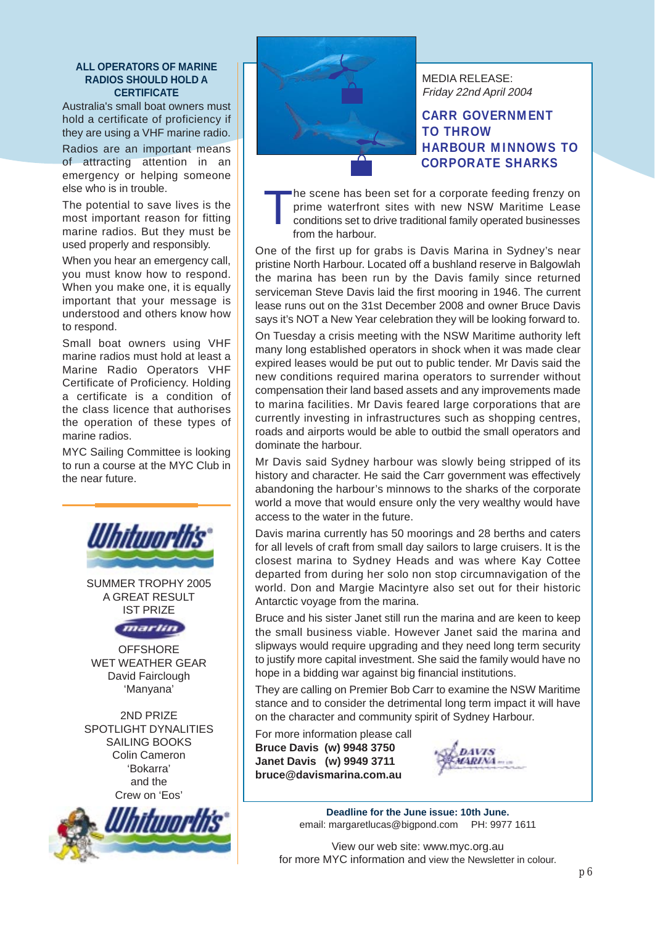#### **ALL OPERATORS OF MARINE RADIOS SHOULD HOLD A CERTIFICATE**

Australia's small boat owners must hold a certificate of proficiency if they are using a VHF marine radio.

Radios are an important means of attracting attention in an emergency or helping someone else who is in trouble.

The potential to save lives is the most important reason for fitting marine radios. But they must be used properly and responsibly.

When you hear an emergency call, you must know how to respond. When you make one, it is equally important that your message is understood and others know how to respond.

Small boat owners using VHF marine radios must hold at least a Marine Radio Operators VHF Certificate of Proficiency. Holding a certificate is a condition of the class licence that authorises the operation of these types of marine radios.

MYC Sailing Committee is looking to run a course at the MYC Club in the near future.



SUMMER TROPHY 2005 A GREAT RESULT IST PRIZE



**OFFSHORE** WET WEATHER GEAR David Fairclough 'Manyana'

2ND PRIZE SPOTLIGHT DYNALITIES SAILING BOOKS Colin Cameron 'Bokarra' and the Crew on 'Eos'





MEDIA RELEASE: Friday 22nd April 2004

#### **CARR GOVERNMENT TO THROW HARBOUR MINNOWS TO CORPORATE SHARKS**

The scene has been set for a corporate feeding frenzy on<br>prime waterfront sites with new NSW Maritime Lease<br>conditions set to drive traditional family operated businesses<br>from the berbeur prime waterfront sites with new NSW Maritime Lease from the harbour.

One of the first up for grabs is Davis Marina in Sydney's near pristine North Harbour. Located off a bushland reserve in Balgowlah the marina has been run by the Davis family since returned serviceman Steve Davis laid the first mooring in 1946. The current lease runs out on the 31st December 2008 and owner Bruce Davis says it's NOT a New Year celebration they will be looking forward to.

On Tuesday a crisis meeting with the NSW Maritime authority left many long established operators in shock when it was made clear expired leases would be put out to public tender. Mr Davis said the new conditions required marina operators to surrender without compensation their land based assets and any improvements made to marina facilities. Mr Davis feared large corporations that are currently investing in infrastructures such as shopping centres, roads and airports would be able to outbid the small operators and dominate the harbour.

Mr Davis said Sydney harbour was slowly being stripped of its history and character. He said the Carr government was effectively abandoning the harbour's minnows to the sharks of the corporate world a move that would ensure only the very wealthy would have access to the water in the future.

Davis marina currently has 50 moorings and 28 berths and caters for all levels of craft from small day sailors to large cruisers. It is the closest marina to Sydney Heads and was where Kay Cottee departed from during her solo non stop circumnavigation of the world. Don and Margie Macintyre also set out for their historic Antarctic voyage from the marina.

Bruce and his sister Janet still run the marina and are keen to keep the small business viable. However Janet said the marina and slipways would require upgrading and they need long term security to justify more capital investment. She said the family would have no hope in a bidding war against big financial institutions.

They are calling on Premier Bob Carr to examine the NSW Maritime stance and to consider the detrimental long term impact it will have on the character and community spirit of Sydney Harbour.

For more information please call **Bruce Davis (w) 9948 3750 Janet Davis (w) 9949 3711 bruce@davismarina.com.au**



**Deadline for the June issue: 10th June.**  email: margaretlucas@bigpond.com PH: 9977 1611

View our web site: www.myc.org.au for more MYC information and view the Newsletter in colour.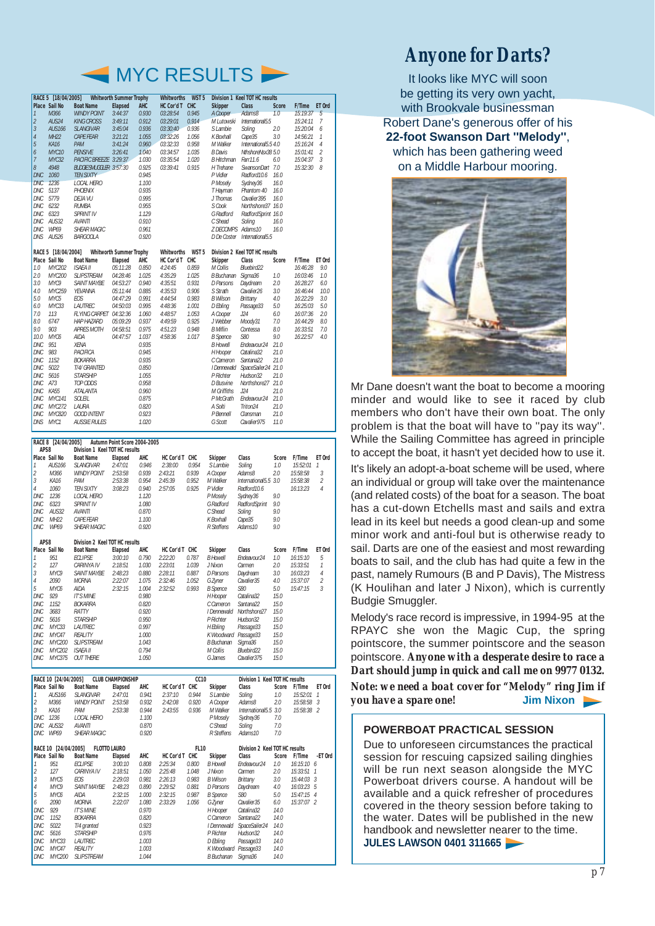

| RACE 5 [18/04/2005]<br><b>Whitworth Summer Trophy</b> |                     |                                |                                |            | <b>Whitworths</b><br>WST <sub>5</sub> |                  |                     | <b>Division 1 Keel TOT HC results</b> |              |               |                |
|-------------------------------------------------------|---------------------|--------------------------------|--------------------------------|------------|---------------------------------------|------------------|---------------------|---------------------------------------|--------------|---------------|----------------|
|                                                       | Place Sail No       | <b>Boat Name</b>               | <b>Elapsed</b>                 | <b>AHC</b> | HC Cor'd T CHC                        |                  | <b>Skipper</b>      | <b>Class</b>                          | <b>Score</b> | F/Time ET Ord |                |
| $\mathbf{1}$                                          | M366                | <b>WINDY POINT</b>             | 3:44:37                        | 0.930      | 03:28:54                              | 0.945            | A Cooper            | Adams8                                | 1.0          | 15:19:37      | 5              |
| $\overline{2}$                                        | AUS24               | <b>KING CROSS</b>              | 3:49:11                        | 0.912      | 03:29:01                              | 0.914            | M Lutowski          | International5.5                      |              | 15:24:11      | $\overline{7}$ |
| $\overline{3}$                                        | <b>AUS166</b>       | <b>SLANGIVAR</b>               | 3:45:04                        | 0.936      | 03:30:40                              | 0.936            | S Lambie            | Soling                                | 2.0          | 15:20:04      | 6              |
| $\overline{4}$                                        | <b>MH22</b>         | <b>CAPE FEAR</b>               | 3:21:21                        | 1.055      | 03:32:26                              | 1.056            | K Boxhall           | Cape35                                | 3.0          | 14:56:21      | $\mathcal{I}$  |
| 5                                                     | <b>KA16</b>         | PAM                            | 3:41:24                        | 0.960      | 03:32:33                              | 0.958            | M Walker            | International5.5 4.0                  |              | 15:16:24      | $\overline{4}$ |
| 6                                                     | MYC10               | <b>PENSIVE</b>                 | 3:26:41                        | 1.040      | 03:34:57                              | 1.035            | <b>B</b> Davis      | NthshoreNsx38 5.0                     |              | 15:01:41      | 2              |
| $\overline{7}$                                        | MYC32               | PACIFIC BREEZE 3:29:37         |                                | 1.030      | 03:35:54                              | 1.020            | B Hitchman Farr11.6 |                                       | 6.0          | 15:04:37      | 3              |
| 8                                                     | 4948                | <b>BUDGIE SMUGGLER 3:57:30</b> |                                | 0.925      | 03:39:41                              | 0.915            | H Trehane           | SwansonDart 7.0                       |              | 15:32:30      | 8              |
| <b>DNC</b>                                            | 1060                | <b>TEN SIXTY</b>               |                                | 0.945      |                                       |                  | P Vidler            | Radford10.6                           | 16.0         |               |                |
| <b>DNC</b>                                            | 1236                | <b>LOCAL HERO</b>              |                                | 1.100      |                                       |                  | P Mosely            | Sydney36                              | 16.0         |               |                |
| DNC.                                                  | 5137                | <b>PHOFNIX</b>                 |                                | 0.935      |                                       |                  | T Hayman            | Phantom 40                            | 16.0         |               |                |
| DNC                                                   | 5779                | DEJA VU                        |                                | 0.995      |                                       |                  | J Thomas            | Cavalier 395                          | 16.0         |               |                |
| DNC                                                   | 6232                | <b>RUMBA</b>                   |                                | 0.955      |                                       |                  | S Cook              | Northshore37 16.0                     |              |               |                |
| DNC                                                   | 6323                | <b>SPRINT IV</b>               |                                | 1.129      |                                       |                  | G Radford           | RadfordSprint 16.0                    |              |               |                |
| DNC                                                   | AUS32               | <b>AVANTI</b>                  |                                | 0.910      |                                       |                  | C Shead             | Soling                                | 16.0         |               |                |
| DNC                                                   | <b>WP69</b>         | <b>SHEAR MAGIC</b>             |                                | 0.961      |                                       |                  | Z DECOMPS Adams10   |                                       | 16.0         |               |                |
| DNS                                                   | AUS26               | <b>BARGOOLA</b>                |                                | 0.920      |                                       |                  |                     | D De Coster International5.5          |              |               |                |
|                                                       | RACE 5 [18/04/2004] |                                | <b>Whitworth Summer Trophy</b> |            | <b>Whitworths</b>                     | WST <sub>5</sub> |                     | Division 2 Keel TOT HC results        |              |               |                |
|                                                       | Place Sail No       | <b>Boat Name</b>               | Elapsed                        | AHC        | HC Cor'd T CHC                        |                  | <b>Skipper</b>      | Class                                 | Score        | F/Time        | ET Ord         |
| 1.0                                                   | MYC202              | ISAFA II                       | 05:11:28                       | 0.850      | 4:24:45                               | 0.859            | M Collis            | Bluebird <sub>22</sub>                |              | 16:46:28      | 9.0            |
| 2.0                                                   | MYC200              | <b>SLIPSTREAM</b>              | 04:28:46                       | 1.025      | 4:35:29                               | 1.025            | B Buchanan          | Sigma36                               | 1.0          | 16:03:46      | 1.0            |
| 3.0                                                   | MYC9                | <b>SAINT MAYBE</b>             | 04:53:27                       | 0.940      | 4:35:51                               | 0.931            | D Parsons           | Davdream                              | 2.0          | 16:28:27      | 6.0            |
| 4.0                                                   | MYC259              | YEVANNA                        | 05:11:44                       | 0.885      | 4:35:53                               | 0.906            | S Strath            | Cavalier26                            | 3.0          | 16:46:44      | 10.0           |
| 5.0                                                   | MYC5                | FOS.                           | 04:47:29                       | 0.991      | 4:44:54                               | 0.983            | <b>B</b> Wilson     | <b>Brittany</b>                       | 4.0          | 16:22:29      | 3.0            |
| 6.0                                                   | MYC33               | LAUTREC                        | 04:50:03                       | 0.995      | 4:48:36                               | 1.001            | D Ebling            | Passage33                             | 5.0          | 16:25:03      | 5.0            |
| 7.0                                                   | 113                 | FLYING CARPET 04:32:36         |                                | 1.060      | 4:48:57                               | 1.053            | A Cooper            | J24                                   | 6.0          | 16:07:36      | 2.0            |
| 8.0                                                   | 6747                | <b>HAP HAZARD</b>              | 05:09:29                       | 0.937      | 4:49:59                               | 0.925            | J Webber            | Moody31                               | 7.0          | 16:44:29      | 8.0            |
| 9.0                                                   | 903                 | <b>APRES MOTH</b>              | 04:58:51                       | 0.975      | 4:51:23                               | 0.948            | <b>B</b> Miflin     | Contessa                              | 8.0          | 16:33:51      | 7.0            |
| 10.0                                                  | MYC6                | AIDA                           | 04:47:57                       | 1.037      | 4:58:36                               | 1.017            | <b>B</b> Spence     | S80                                   | 9.0          | 16:22:57      | 4.0            |
| DNC                                                   | 951                 | <b>XFNA</b>                    |                                | 0.935      |                                       |                  | <b>B</b> Howell     | Endeavour24                           | 21.0         |               |                |
| <b>DNC</b>                                            | 983                 | PACIFICA                       |                                | 0.945      |                                       |                  | H Hooper            | Catalina32                            | 21.0         |               |                |
| <b>DNC</b>                                            | 1152                | BOKARRA                        |                                | 0.935      |                                       |                  | C Cameron           | Santana22                             | 21.0         |               |                |
| DNC                                                   | 5022                | T/4/ GRANTED                   |                                | 0.850      |                                       |                  | I Dennewald         | SpaceSailer24 21.0                    |              |               |                |
| DNC                                                   | 5616                | <b>STARSHIP</b>                |                                | 1.055      |                                       |                  | P Richter           | Hudson32                              | 21.0         |               |                |
| DNC                                                   | A73                 | TOP ODDS                       |                                | 0.958      |                                       |                  | D Busvine           | Northshore27 21.0                     |              |               |                |
| DNC                                                   | KA55                | ATALANTA                       |                                | 0.960      |                                       |                  | <b>M</b> Griffiths  | .124                                  | 21.0         |               |                |
| <b>DNC</b>                                            | MYC141              | SOLEIL                         |                                | 0.875      |                                       |                  | P McGrath           | Endeavour24                           | 21.0         |               |                |
| DNC                                                   | MYC272              | LAURA                          |                                | 0.820      |                                       |                  | A Solti             | Triton24                              | 21.0         |               |                |
| DNC.                                                  | MYC820              | <b>GOOD INTENT</b>             |                                | 0.923      |                                       |                  | P Bennell           | Clansman                              | 21.0         |               |                |
| DNS                                                   | MYC1                | <b>AUSSIE RULES</b>            |                                | 1.020      |                                       |                  | G Scott             | Cavalier975                           | 11.0         |               |                |

| RACE 8 [24/04/2005]<br>Autumn Point Score 2004-2005 |                  |                                |                |            |                   |       |                   |                       |       |          |                         |
|-----------------------------------------------------|------------------|--------------------------------|----------------|------------|-------------------|-------|-------------------|-----------------------|-------|----------|-------------------------|
| APS8<br>Division 1 Keel TOT HC results              |                  |                                |                |            |                   |       |                   |                       |       |          |                         |
|                                                     | Place Sail No    | <b>Boat Name</b>               | <b>Elapsed</b> | AHC        | <b>HC Cor'd T</b> | CHC   | <b>Skipper</b>    | Class                 | Score | F/Time   | ET Ord                  |
| $\mathcal{I}$                                       | AUS166           | <b>SLANGIVAR</b>               | 2:47:01        | 0.946      | 2:38:00           | 0.954 | S Lambie          | Soling                | 1.0   | 15:52:01 | 1                       |
| $\frac{2}{3}$                                       | M366             | <b>WINDY POINT</b>             | 2:53:58        | 0.939      | 2:43:21           | 0.939 | A Cooper          | Adams8                | 2.0   | 15:58:58 | 3                       |
|                                                     | KA16             | PAM                            | 2:53:38        | 0.954      | 2:45:39           | 0.952 | M Walker          | International5.5 3.0  |       | 15:58:38 | $\mathfrak{I}$          |
| $\overline{4}$                                      | 1060             | <b>TFN SIXTY</b>               | 3:08:23        | 0.940      | 2:57:05           | 0.925 | P Vidler          | Radford10.6           |       | 16:13:23 | $\overline{A}$          |
| <b>DNC</b>                                          | 1236             | <b>LOCAL HERO</b>              |                | 1.120      |                   |       | P Mosely          | Sydney36              | 9.0   |          |                         |
| <b>DNC</b>                                          | 6323             | <b>SPRINT IV</b>               |                | 1.080      |                   |       | G Radford         | <b>RadfordSprint</b>  | 9.0   |          |                         |
| <b>DNC</b>                                          | AUS32            | <b>AVANTI</b>                  |                | 0.870      |                   |       | C Shead           | Solina                | 9.0   |          |                         |
| DNC                                                 | MH <sub>22</sub> | CAPF FFAR                      |                | 1.100      |                   |       | K Boxhall         | Cape35                | 9.0   |          |                         |
| <b>DNC</b>                                          | <b>WP69</b>      | <b>SHFAR MAGIC</b>             |                | 0.920      |                   |       | R Steffens        | Adams10               | 9.0   |          |                         |
|                                                     |                  |                                |                |            |                   |       |                   |                       |       |          |                         |
| APS8                                                |                  | Division 2 Keel TOT HC results |                |            |                   |       |                   |                       |       |          |                         |
|                                                     | Place Sail No    | <b>Boat Name</b>               | <b>Elapsed</b> | <b>AHC</b> | <b>HC Cor'd T</b> | CHC   | <b>Skipper</b>    | Class                 | Score | F/Time   | ET Ord                  |
| $\mathcal{I}$                                       | 951              | <b>FCI IPSF</b>                | 3:00:10        | 0.790      | 2:22:20           | 0.787 | <b>B</b> Howell   | Endeavour24           | 1.0   | 16:15:10 | 5                       |
| $\sqrt{2}$                                          | 127              | CARINYA IV                     | 2:18:51        | 1.030      | 2:23:01           | 1.039 | J Nixon           | Carmen                | 2.0   | 15:33:51 | 1                       |
| 3                                                   | MYC9             | <b>SAINT MAYBE</b>             | 2:48:23        | 0.880      | 2:28:11           | 0.887 | D Parsons         | Daydream              | 3.0   | 16:03:23 | $\overline{4}$          |
| $\overline{4}$                                      | 2090             | <b>MORNA</b>                   | 2:22:07        | 1.075      | 2:32:46           | 1.052 | G Zvner           | Cavalier35            | 4.0   | 15:37:07 | $\overline{2}$          |
| 5                                                   | MYC6             | AIDA                           | 2:32:15        | 1.004      | 2:32:52           | 0.993 | <b>B</b> Spence   | S80                   | 5.0   | 15:47:15 | $\overline{\mathbf{3}}$ |
| DNC                                                 | 929              | <b>IT'S MINF</b>               |                | 0.980      |                   |       | H Hooper          | Catalina32            | 15.0  |          |                         |
| DNC                                                 | 1152             | <b>BOKARRA</b>                 |                | 0.820      |                   |       | C Cameron         | Santana <sub>22</sub> | 15.0  |          |                         |
| DNC                                                 | 3683             | RATTY                          |                | 0.920      |                   |       | I Dennewald       | Northshore27          | 15.0  |          |                         |
| <b>DNC</b>                                          | 5616             | <b>STARSHIP</b>                |                | 0.950      |                   |       | P Richter         | Hudson32              | 15.0  |          |                         |
| DNC                                                 | MYC33            | LAUTREC                        |                | 0.997      |                   |       | H Ebling          | Passage33             | 15.0  |          |                         |
| <b>DNC</b>                                          | MYC47            | REALITY                        |                | 1.000      |                   |       | K Woodward        | Passage33             | 15.0  |          |                         |
| <b>DNC</b>                                          | MYC200           | <b>SLIPSTREAM</b>              |                | 1.043      |                   |       | <b>B</b> Buchanan | Sigma36               | 15.0  |          |                         |
| <b>DNC</b>                                          | MYC202           | <b>ISAEA II</b>                |                | 0.794      |                   |       | M Collis          | Bluebird22            | 15.0  |          |                         |
| <b>DNC</b>                                          | MYC375           | <b>OUT THERE</b>               |                | 1.050      |                   |       | G James           | Cavalier375           | 15.0  |          |                         |
|                                                     |                  |                                |                |            |                   |       |                   |                       |       |          |                         |

| RACE 10 [24/04/2005]<br><b>CLUB CHAMPIONSHIP</b> |               |                    |                |       | CC <sub>10</sub>  |       |                   | Division 1 Keel TOT HC results |       |              |         |
|--------------------------------------------------|---------------|--------------------|----------------|-------|-------------------|-------|-------------------|--------------------------------|-------|--------------|---------|
|                                                  | Place Sail No | <b>Boat Name</b>   | <b>Elapsed</b> | AHC   | <b>HC Cor'd T</b> | CHC   | <b>Skipper</b>    | Class                          | Score | F/Time       | ET Ord  |
|                                                  | AUS166        | <b>SLANGIVAR</b>   | 2:47:01        | 0.941 | 2:37:10           | 0.944 | S Lambie          | Soling                         | 1.0   | 15:52:01     | - 1     |
| $\sqrt{2}$                                       | M366          | <b>WINDY POINT</b> | 2:53:58        | 0.932 | 2:42:08           | 0.920 | A Cooper          | Adams8                         | 2.0   | 15:58:58     | -3      |
| 3                                                | KA16          | PAM                | 2:53:38        | 0.944 | 2:43:55           | 0.936 | M Walker          | International5.5               | 3.0   | 15:58:38 2   |         |
| DNC                                              | 1236          | <b>LOCAL HERO</b>  |                | 1.100 |                   |       | P Mosely          | Sydney36                       | 7.0   |              |         |
| DNC                                              | AUS32         | <b>AVANTI</b>      |                | 0.870 |                   |       | C Shead           | Soling                         | 7.0   |              |         |
| DNC                                              | <b>WP69</b>   | <b>SHEAR MAGIC</b> |                | 0.920 |                   |       | R Steffens        | Adams10                        | 7.0   |              |         |
| RACE 10 [24/04/2005]<br><b>FLOTTO LAURO</b>      |               |                    |                |       | <b>FL10</b>       |       |                   | Division 2 Keel TOT HC results |       |              |         |
|                                                  | Place Sail No | <b>Boat Name</b>   | <b>Elapsed</b> | AHC   | <b>HC Cor'd T</b> | CHC   | <b>Skipper</b>    | Class                          | Score | F/Time       | -ET Ord |
| 1                                                | 951           | <b>ECLIPSE</b>     | 3:00:10        | 0.808 | 2:25:34           | 0.800 | <b>B</b> Howell   | Endeavour24                    | 1.0   | 16:15:106    |         |
| $\sqrt{2}$                                       | 127           | CARINYA IV         | 2:18:51        | 1.050 | 2:25:48           | 1.048 | J Nixon           | Carmen                         | 2.0   | $15:33:51$ 1 |         |
| $\overline{3}$                                   | MYC5          | EOS                | 2:29:03        | 0.981 | 2:26:13           | 0.983 | <b>B</b> Wilson   | Brittany                       | 3.0   | 15:44:03 3   |         |
| $\overline{4}$                                   | MYC9          | <b>SAINT MAYBE</b> | 2:48:23        | 0.890 | 2:29:52           | 0.881 | D Parsons         | Daydream                       | 4.0   | 16:03:23 5   |         |
| 5                                                | MYC6          | AIDA               | 2:32:15        | 1.000 | 2:32:15           | 0.987 | <b>B</b> Spence   | S80                            | 5.0   | $15:47:15$ 4 |         |
| 6                                                | 2090          | <b>MORNA</b>       | 2:22:07        | 1.080 | 2:33:29           | 1.056 | G Zyner           | Cavalier35                     | 6.0   | 15:37:07 2   |         |
| <b>DNC</b>                                       | 929           | <b>IT'S MINE</b>   |                | 0.970 |                   |       | H Hooper          | Catalina32                     | 14.0  |              |         |
| <b>DNC</b>                                       | 1152          | <b>BOKARRA</b>     |                | 0.820 |                   |       | C Cameron         | Santana <sub>22</sub>          | 14.0  |              |         |
| <b>DNC</b>                                       | 5022          | T/4 granted        |                | 0.923 |                   |       | I Dennewald       | SpaceSailer24                  | 14.0  |              |         |
| <b>DNC</b>                                       | 5616          | <b>STARSHIP</b>    |                | 0.976 |                   |       | P Richter         | Hudson32                       | 14.0  |              |         |
| <b>DNC</b>                                       | MYC33         | LAUTREC            |                | 1.003 |                   |       | D Ebling          | Passage33                      | 14.0  |              |         |
| <b>DNC</b>                                       | MYC47         | REALITY            |                | 1.003 |                   |       | K Woodward        | Passage33                      | 14.0  |              |         |
| DNC                                              | MYC200        | <b>SLIPSTREAM</b>  |                | 1.044 |                   |       | <b>B</b> Buchanan | Sigma36                        | 14.0  |              |         |

### *Anyone for Darts?*

It looks like MYC will soon be getting its very own yacht, with Brookvale businessman Robert Dane's generous offer of his **22-foot Swanson Dart ''Melody''**, which has been gathering weed on a Middle Harbour mooring.



Mr Dane doesn't want the boat to become a mooring minder and would like to see it raced by club members who don't have their own boat. The only problem is that the boat will have to ''pay its way''. While the Sailing Committee has agreed in principle to accept the boat, it hasn't yet decided how to use it. It's likely an adopt-a-boat scheme will be used, where an individual or group will take over the maintenance (and related costs) of the boat for a season. The boat has a cut-down Etchells mast and sails and extra lead in its keel but needs a good clean-up and some minor work and anti-foul but is otherwise ready to sail. Darts are one of the easiest and most rewarding boats to sail, and the club has had quite a few in the past, namely Rumours (B and P Davis), The Mistress (K Houlihan and later J Nixon), which is currently Budgie Smuggler.

Melody's race record is impressive, in 1994-95 at the RPAYC she won the Magic Cup, the spring pointscore, the summer pointscore and the season pointscore. *Anyone with a desperate desire to race a Dart should jump in quick and call me on 9977 0132.*

*Note: we need a boat cover for "Melody" ring Jim if you have a spare one!* **Jim Nixon**

#### **POWERBOAT PRACTICAL SESSION**

Due to unforeseen circumstances the practical session for rescuing capsized sailing dinghies will be run next season alongside the MYC Powerboat drivers course. A handout will be available and a quick refresher of procedures covered in the theory session before taking to the water. Dates will be published in the new handbook and newsletter nearer to the time. **JULES LAWSON 0401 311665**